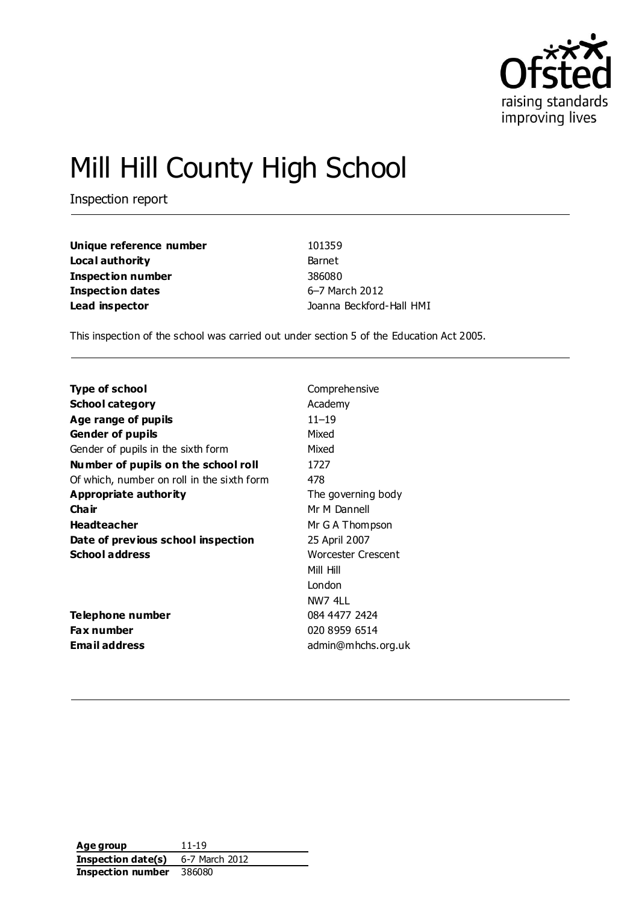

# Mill Hill County High School

Inspection report

| Unique reference number | 101359                   |
|-------------------------|--------------------------|
| Local authority         | Barnet                   |
| Inspection number       | 386080                   |
| Inspection dates        | 6-7 March 2012           |
| Lead inspector          | Joanna Beckford-Hall HMI |

This inspection of the school was carried out under section 5 of the Education Act 2005.

| Type of school                             | Comprehensive      |
|--------------------------------------------|--------------------|
| <b>School category</b>                     | Academy            |
| Age range of pupils                        | $11 - 19$          |
| <b>Gender of pupils</b>                    | Mixed              |
| Gender of pupils in the sixth form         | Mixed              |
| Number of pupils on the school roll        | 1727               |
| Of which, number on roll in the sixth form | 478                |
| Appropriate authority                      | The governing body |
| Cha ir                                     | Mr M Dannell       |
| <b>Headteacher</b>                         | Mr G A Thompson    |
| Date of previous school inspection         | 25 April 2007      |
| <b>School address</b>                      | Worcester Crescent |
|                                            | Mill Hill          |
|                                            | London             |
|                                            | NW7 4LL            |
| Telephone number                           | 084 4477 2424      |
| <b>Fax number</b>                          | 020 8959 6514      |
| <b>Email address</b>                       | admin@mhchs.org.uk |

| Age group          | 11-19          |
|--------------------|----------------|
| Inspection date(s) | 6-7 March 2012 |
| Inspection number  | 386080         |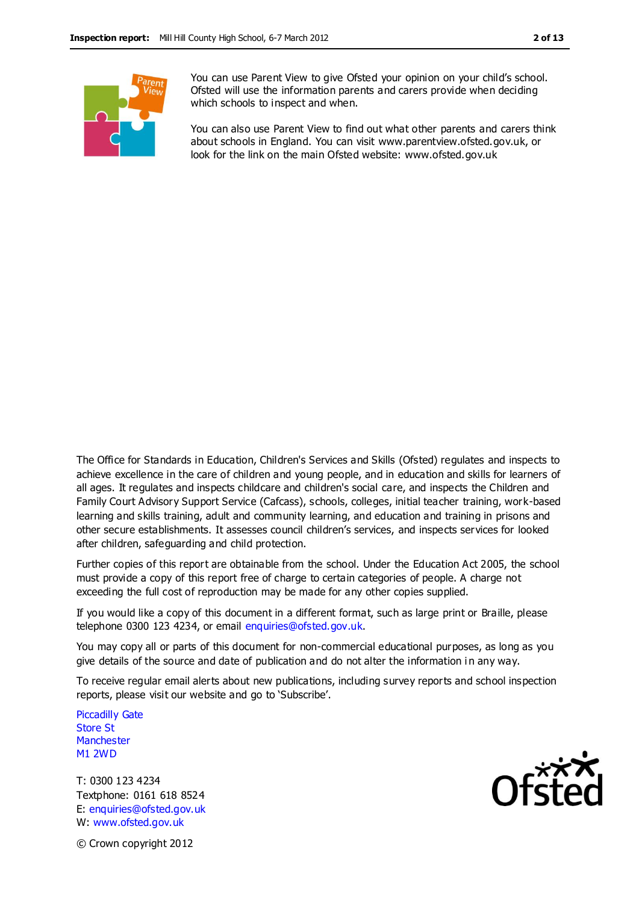

You can use Parent View to give Ofsted your opinion on your child's school. Ofsted will use the information parents and carers provide when deciding which schools to inspect and when.

You can also use Parent View to find out what other parents and carers think about schools in England. You can visit www.parentview.ofsted.gov.uk, or look for the link on the main Ofsted website: www.ofsted.gov.uk

The Office for Standards in Education, Children's Services and Skills (Ofsted) regulates and inspects to achieve excellence in the care of children and young people, and in education and skills for learners of all ages. It regulates and inspects childcare and children's social care, and inspects the Children and Family Court Advisory Support Service (Cafcass), schools, colleges, initial teacher training, work-based learning and skills training, adult and community learning, and education and training in prisons and other secure establishments. It assesses council children's services, and inspects services for looked after children, safeguarding and child protection.

Further copies of this report are obtainable from the school. Under the Education Act 2005, the school must provide a copy of this report free of charge to certain categories of people. A charge not exceeding the full cost of reproduction may be made for any other copies supplied.

If you would like a copy of this document in a different format, such as large print or Braille, please telephone 0300 123 4234, or email enquiries@ofsted.gov.uk.

You may copy all or parts of this document for non-commercial educational purposes, as long as you give details of the source and date of publication and do not alter the information i n any way.

To receive regular email alerts about new publications, including survey reports and school inspection reports, please visit our website and go to 'Subscribe'.

Piccadilly Gate Store St **Manchester** M1 2WD

T: 0300 123 4234 Textphone: 0161 618 8524 E: enquiries@ofsted.gov.uk W: www.ofsted.gov.uk



© Crown copyright 2012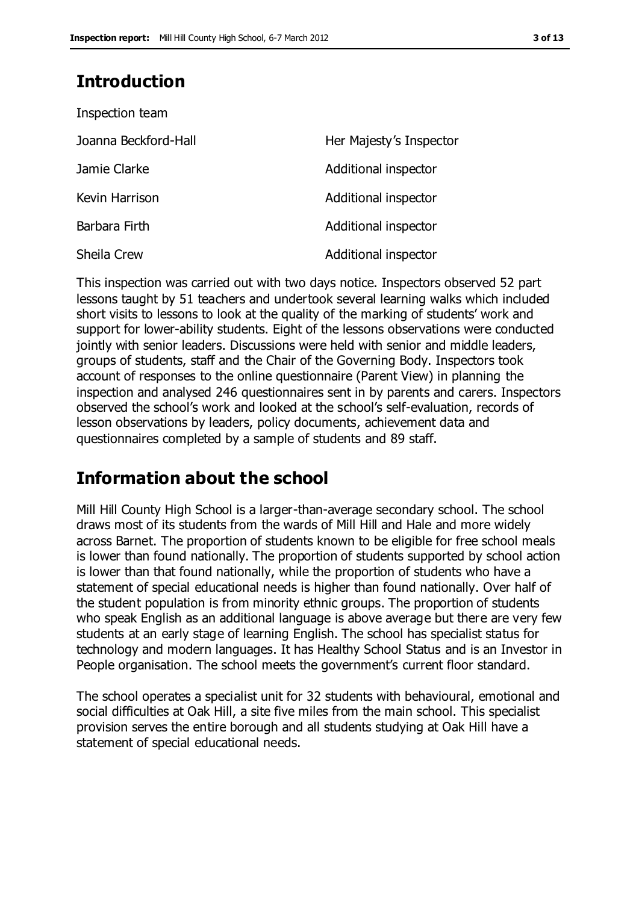# **Introduction**

| Inspection team      |                         |
|----------------------|-------------------------|
| Joanna Beckford-Hall | Her Majesty's Inspector |
| Jamie Clarke         | Additional inspector    |
| Kevin Harrison       | Additional inspector    |
| Barbara Firth        | Additional inspector    |
| <b>Sheila Crew</b>   | Additional inspector    |

This inspection was carried out with two days notice. Inspectors observed 52 part lessons taught by 51 teachers and undertook several learning walks which included short visits to lessons to look at the quality of the marking of students' work and support for lower-ability students. Eight of the lessons observations were conducted jointly with senior leaders. Discussions were held with senior and middle leaders, groups of students, staff and the Chair of the Governing Body. Inspectors took account of responses to the online questionnaire (Parent View) in planning the inspection and analysed 246 questionnaires sent in by parents and carers. Inspectors observed the school's work and looked at the school's self-evaluation, records of lesson observations by leaders, policy documents, achievement data and questionnaires completed by a sample of students and 89 staff.

# **Information about the school**

Mill Hill County High School is a larger-than-average secondary school. The school draws most of its students from the wards of Mill Hill and Hale and more widely across Barnet. The proportion of students known to be eligible for free school meals is lower than found nationally. The proportion of students supported by school action is lower than that found nationally, while the proportion of students who have a statement of special educational needs is higher than found nationally. Over half of the student population is from minority ethnic groups. The proportion of students who speak English as an additional language is above average but there are very few students at an early stage of learning English. The school has specialist status for technology and modern languages. It has Healthy School Status and is an Investor in People organisation. The school meets the government's current floor standard.

The school operates a specialist unit for 32 students with behavioural, emotional and social difficulties at Oak Hill, a site five miles from the main school. This specialist provision serves the entire borough and all students studying at Oak Hill have a statement of special educational needs.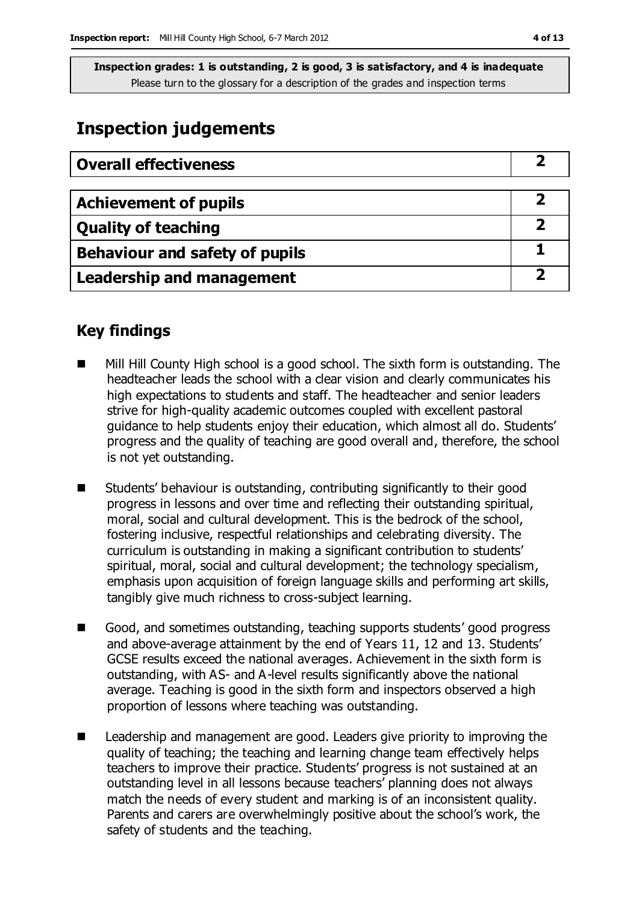# **Inspection judgements**

| <b>Overall effectiveness</b>     |  |
|----------------------------------|--|
|                                  |  |
| <b>Achievement of pupils</b>     |  |
| <b>Quality of teaching</b>       |  |
| Behaviour and safety of pupils   |  |
| <b>Leadership and management</b> |  |

# **Key findings**

- Mill Hill County High school is a good school. The sixth form is outstanding. The headteacher leads the school with a clear vision and clearly communicates his high expectations to students and staff. The headteacher and senior leaders strive for high-quality academic outcomes coupled with excellent pastoral guidance to help students enjoy their education, which almost all do. Students' progress and the quality of teaching are good overall and, therefore, the school is not yet outstanding.
- Students' behaviour is outstanding, contributing significantly to their good progress in lessons and over time and reflecting their outstanding spiritual, moral, social and cultural development. This is the bedrock of the school, fostering inclusive, respectful relationships and celebrating diversity. The curriculum is outstanding in making a significant contribution to students' spiritual, moral, social and cultural development; the technology specialism, emphasis upon acquisition of foreign language skills and performing art skills, tangibly give much richness to cross-subject learning.
- Good, and sometimes outstanding, teaching supports students' good progress and above-average attainment by the end of Years 11, 12 and 13. Students' GCSE results exceed the national averages. Achievement in the sixth form is outstanding, with AS- and A-level results significantly above the national average. Teaching is good in the sixth form and inspectors observed a high proportion of lessons where teaching was outstanding.
- Leadership and management are good. Leaders give priority to improving the quality of teaching; the teaching and learning change team effectively helps teachers to improve their practice. Students' progress is not sustained at an outstanding level in all lessons because teachers' planning does not always match the needs of every student and marking is of an inconsistent quality. Parents and carers are overwhelmingly positive about the school's work, the safety of students and the teaching.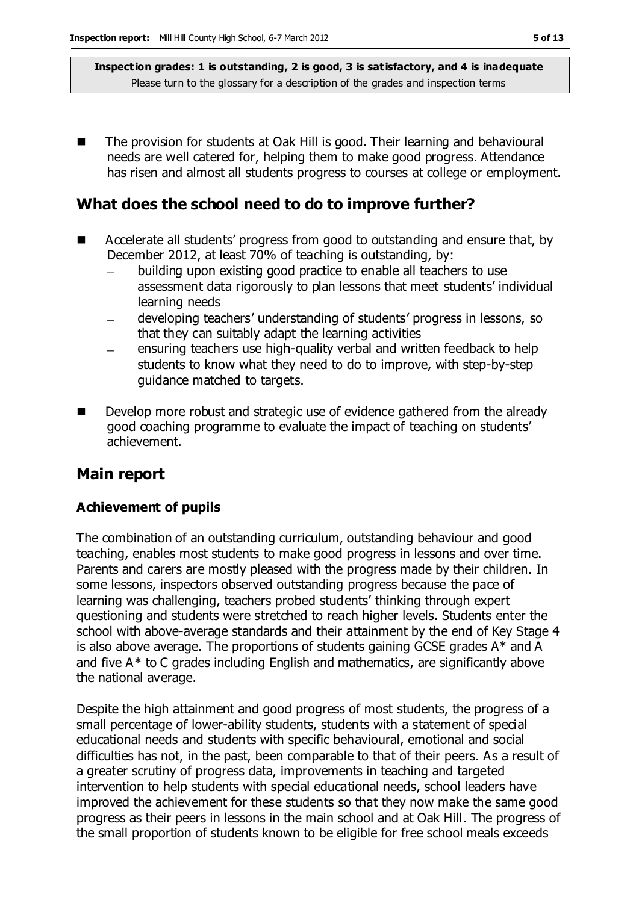The provision for students at Oak Hill is good. Their learning and behavioural needs are well catered for, helping them to make good progress. Attendance has risen and almost all students progress to courses at college or employment.

# **What does the school need to do to improve further?**

- Accelerate all students' progress from good to outstanding and ensure that, by December 2012, at least 70% of teaching is outstanding, by:
	- building upon existing good practice to enable all teachers to use assessment data rigorously to plan lessons that meet students' individual learning needs
	- developing teachers' understanding of students' progress in lessons, so that they can suitably adapt the learning activities
	- ensuring teachers use high-quality verbal and written feedback to help students to know what they need to do to improve, with step-by-step guidance matched to targets.
- Develop more robust and strategic use of evidence gathered from the already good coaching programme to evaluate the impact of teaching on students' achievement.

# **Main report**

### **Achievement of pupils**

The combination of an outstanding curriculum, outstanding behaviour and good teaching, enables most students to make good progress in lessons and over time. Parents and carers are mostly pleased with the progress made by their children. In some lessons, inspectors observed outstanding progress because the pace of learning was challenging, teachers probed students' thinking through expert questioning and students were stretched to reach higher levels. Students enter the school with above-average standards and their attainment by the end of Key Stage 4 is also above average. The proportions of students gaining GCSE grades A\* and A and five A\* to C grades including English and mathematics, are significantly above the national average.

Despite the high attainment and good progress of most students, the progress of a small percentage of lower-ability students, students with a statement of special educational needs and students with specific behavioural, emotional and social difficulties has not, in the past, been comparable to that of their peers. As a result of a greater scrutiny of progress data, improvements in teaching and targeted intervention to help students with special educational needs, school leaders have improved the achievement for these students so that they now make the same good progress as their peers in lessons in the main school and at Oak Hill. The progress of the small proportion of students known to be eligible for free school meals exceeds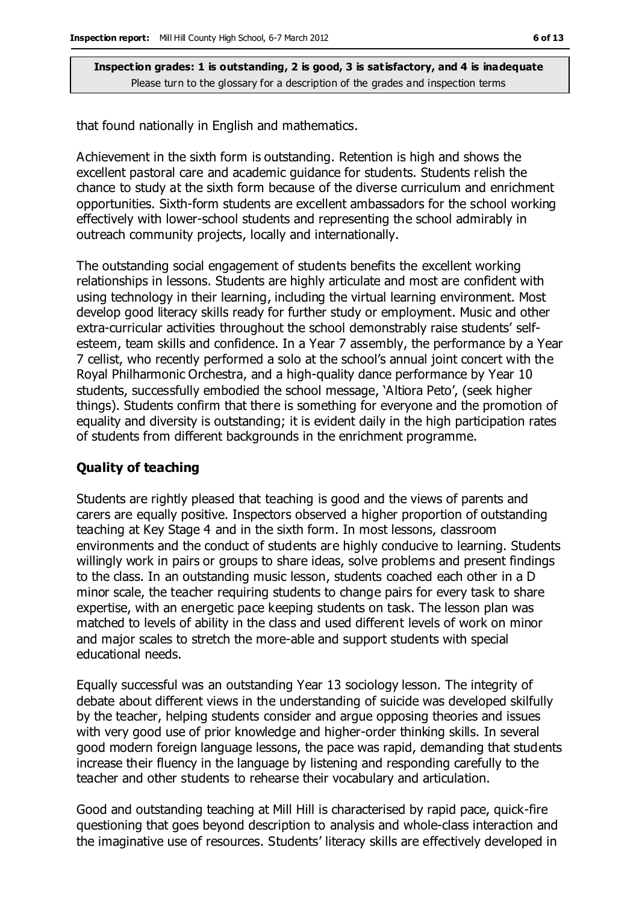that found nationally in English and mathematics.

Achievement in the sixth form is outstanding. Retention is high and shows the excellent pastoral care and academic guidance for students. Students relish the chance to study at the sixth form because of the diverse curriculum and enrichment opportunities. Sixth-form students are excellent ambassadors for the school working effectively with lower-school students and representing the school admirably in outreach community projects, locally and internationally.

The outstanding social engagement of students benefits the excellent working relationships in lessons. Students are highly articulate and most are confident with using technology in their learning, including the virtual learning environment. Most develop good literacy skills ready for further study or employment. Music and other extra-curricular activities throughout the school demonstrably raise students' selfesteem, team skills and confidence. In a Year 7 assembly, the performance by a Year 7 cellist, who recently performed a solo at the school's annual joint concert with the Royal Philharmonic Orchestra, and a high-quality dance performance by Year 10 students, successfully embodied the school message, 'Altiora Peto', (seek higher things). Students confirm that there is something for everyone and the promotion of equality and diversity is outstanding; it is evident daily in the high participation rates of students from different backgrounds in the enrichment programme.

#### **Quality of teaching**

Students are rightly pleased that teaching is good and the views of parents and carers are equally positive. Inspectors observed a higher proportion of outstanding teaching at Key Stage 4 and in the sixth form. In most lessons, classroom environments and the conduct of students are highly conducive to learning. Students willingly work in pairs or groups to share ideas, solve problems and present findings to the class. In an outstanding music lesson, students coached each other in a D minor scale, the teacher requiring students to change pairs for every task to share expertise, with an energetic pace keeping students on task. The lesson plan was matched to levels of ability in the class and used different levels of work on minor and major scales to stretch the more-able and support students with special educational needs.

Equally successful was an outstanding Year 13 sociology lesson. The integrity of debate about different views in the understanding of suicide was developed skilfully by the teacher, helping students consider and argue opposing theories and issues with very good use of prior knowledge and higher-order thinking skills. In several good modern foreign language lessons, the pace was rapid, demanding that students increase their fluency in the language by listening and responding carefully to the teacher and other students to rehearse their vocabulary and articulation.

Good and outstanding teaching at Mill Hill is characterised by rapid pace, quick-fire questioning that goes beyond description to analysis and whole-class interaction and the imaginative use of resources. Students' literacy skills are effectively developed in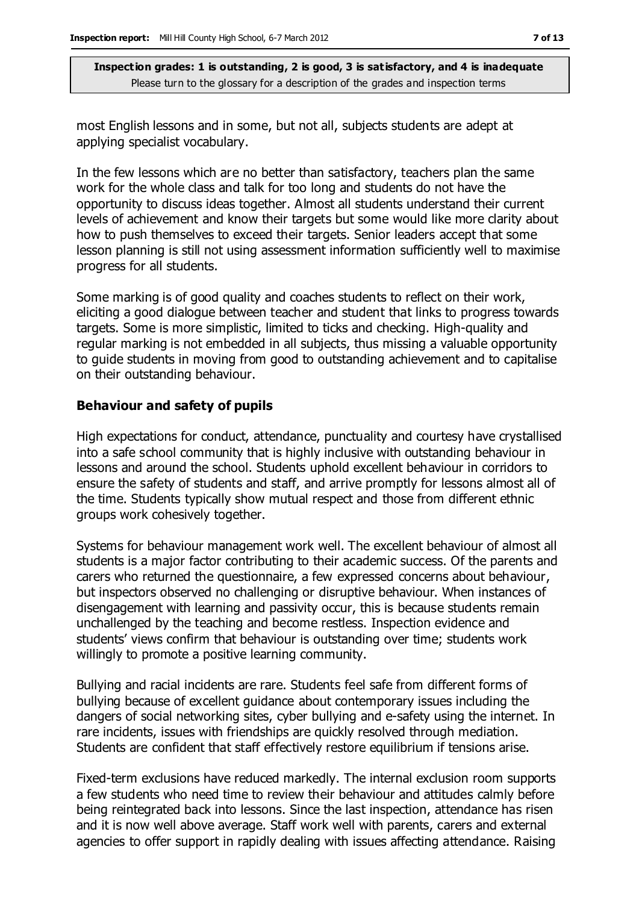most English lessons and in some, but not all, subjects students are adept at applying specialist vocabulary.

In the few lessons which are no better than satisfactory, teachers plan the same work for the whole class and talk for too long and students do not have the opportunity to discuss ideas together. Almost all students understand their current levels of achievement and know their targets but some would like more clarity about how to push themselves to exceed their targets. Senior leaders accept that some lesson planning is still not using assessment information sufficiently well to maximise progress for all students.

Some marking is of good quality and coaches students to reflect on their work, eliciting a good dialogue between teacher and student that links to progress towards targets. Some is more simplistic, limited to ticks and checking. High-quality and regular marking is not embedded in all subjects, thus missing a valuable opportunity to guide students in moving from good to outstanding achievement and to capitalise on their outstanding behaviour.

#### **Behaviour and safety of pupils**

High expectations for conduct, attendance, punctuality and courtesy have crystallised into a safe school community that is highly inclusive with outstanding behaviour in lessons and around the school. Students uphold excellent behaviour in corridors to ensure the safety of students and staff, and arrive promptly for lessons almost all of the time. Students typically show mutual respect and those from different ethnic groups work cohesively together.

Systems for behaviour management work well. The excellent behaviour of almost all students is a major factor contributing to their academic success. Of the parents and carers who returned the questionnaire, a few expressed concerns about behaviour, but inspectors observed no challenging or disruptive behaviour. When instances of disengagement with learning and passivity occur, this is because students remain unchallenged by the teaching and become restless. Inspection evidence and students' views confirm that behaviour is outstanding over time; students work willingly to promote a positive learning community.

Bullying and racial incidents are rare. Students feel safe from different forms of bullying because of excellent guidance about contemporary issues including the dangers of social networking sites, cyber bullying and e-safety using the internet. In rare incidents, issues with friendships are quickly resolved through mediation. Students are confident that staff effectively restore equilibrium if tensions arise.

Fixed-term exclusions have reduced markedly. The internal exclusion room supports a few students who need time to review their behaviour and attitudes calmly before being reintegrated back into lessons. Since the last inspection, attendance has risen and it is now well above average. Staff work well with parents, carers and external agencies to offer support in rapidly dealing with issues affecting attendance. Raising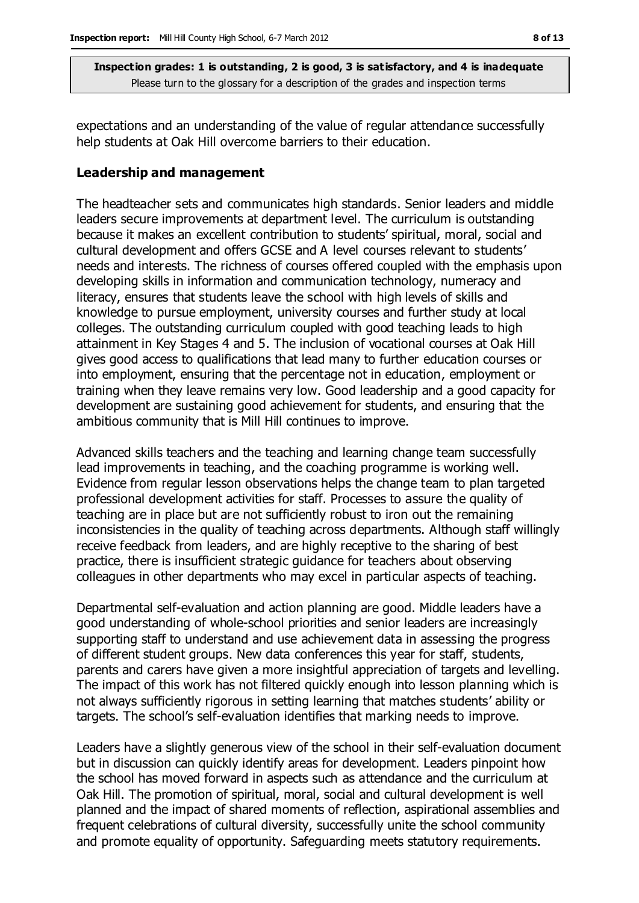expectations and an understanding of the value of regular attendance successfully help students at Oak Hill overcome barriers to their education.

#### **Leadership and management**

The headteacher sets and communicates high standards. Senior leaders and middle leaders secure improvements at department level. The curriculum is outstanding because it makes an excellent contribution to students' spiritual, moral, social and cultural development and offers GCSE and A level courses relevant to students' needs and interests. The richness of courses offered coupled with the emphasis upon developing skills in information and communication technology, numeracy and literacy, ensures that students leave the school with high levels of skills and knowledge to pursue employment, university courses and further study at local colleges. The outstanding curriculum coupled with good teaching leads to high attainment in Key Stages 4 and 5. The inclusion of vocational courses at Oak Hill gives good access to qualifications that lead many to further education courses or into employment, ensuring that the percentage not in education, employment or training when they leave remains very low. Good leadership and a good capacity for development are sustaining good achievement for students, and ensuring that the ambitious community that is Mill Hill continues to improve.

Advanced skills teachers and the teaching and learning change team successfully lead improvements in teaching, and the coaching programme is working well. Evidence from regular lesson observations helps the change team to plan targeted professional development activities for staff. Processes to assure the quality of teaching are in place but are not sufficiently robust to iron out the remaining inconsistencies in the quality of teaching across departments. Although staff willingly receive feedback from leaders, and are highly receptive to the sharing of best practice, there is insufficient strategic guidance for teachers about observing colleagues in other departments who may excel in particular aspects of teaching.

Departmental self-evaluation and action planning are good. Middle leaders have a good understanding of whole-school priorities and senior leaders are increasingly supporting staff to understand and use achievement data in assessing the progress of different student groups. New data conferences this year for staff, students, parents and carers have given a more insightful appreciation of targets and levelling. The impact of this work has not filtered quickly enough into lesson planning which is not always sufficiently rigorous in setting learning that matches students' ability or targets. The school's self-evaluation identifies that marking needs to improve.

Leaders have a slightly generous view of the school in their self-evaluation document but in discussion can quickly identify areas for development. Leaders pinpoint how the school has moved forward in aspects such as attendance and the curriculum at Oak Hill. The promotion of spiritual, moral, social and cultural development is well planned and the impact of shared moments of reflection, aspirational assemblies and frequent celebrations of cultural diversity, successfully unite the school community and promote equality of opportunity. Safeguarding meets statutory requirements.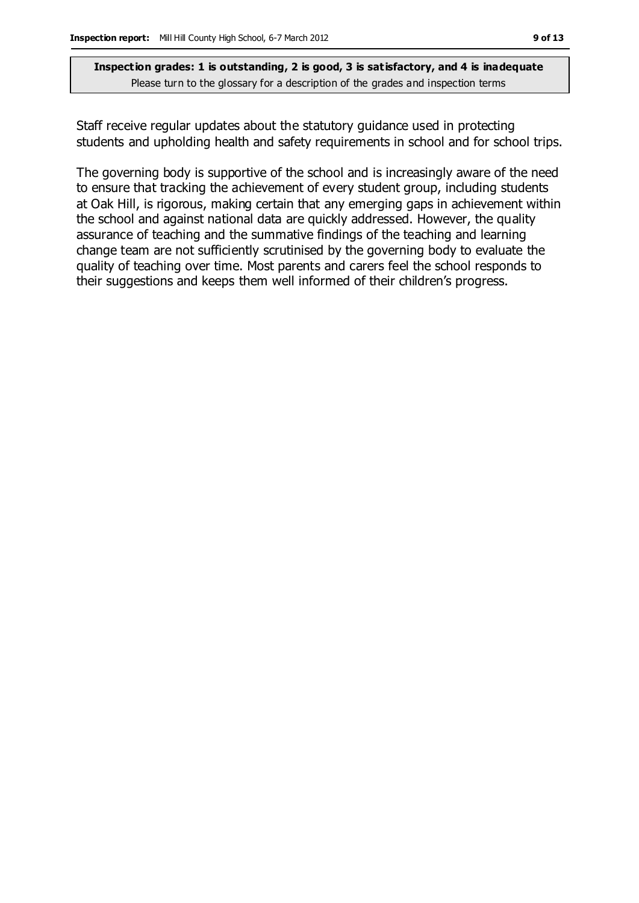Staff receive regular updates about the statutory guidance used in protecting students and upholding health and safety requirements in school and for school trips.

The governing body is supportive of the school and is increasingly aware of the need to ensure that tracking the achievement of every student group, including students at Oak Hill, is rigorous, making certain that any emerging gaps in achievement within the school and against national data are quickly addressed. However, the quality assurance of teaching and the summative findings of the teaching and learning change team are not sufficiently scrutinised by the governing body to evaluate the quality of teaching over time. Most parents and carers feel the school responds to their suggestions and keeps them well informed of their children's progress.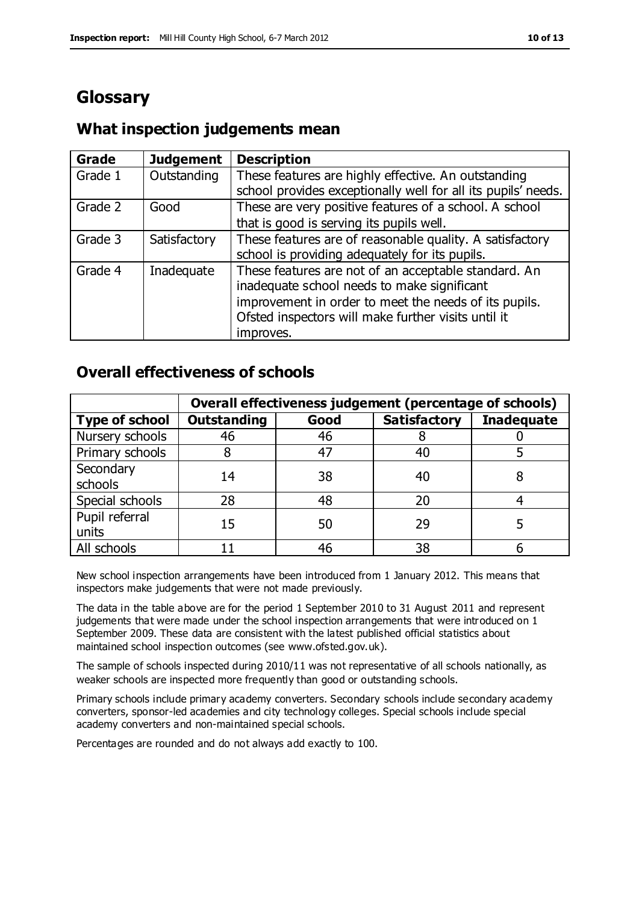# **Glossary**

# **What inspection judgements mean**

| <b>Grade</b> | <b>Judgement</b> | <b>Description</b>                                            |
|--------------|------------------|---------------------------------------------------------------|
| Grade 1      | Outstanding      | These features are highly effective. An outstanding           |
|              |                  | school provides exceptionally well for all its pupils' needs. |
| Grade 2      | Good             | These are very positive features of a school. A school        |
|              |                  | that is good is serving its pupils well.                      |
| Grade 3      | Satisfactory     | These features are of reasonable quality. A satisfactory      |
|              |                  | school is providing adequately for its pupils.                |
| Grade 4      | Inadequate       | These features are not of an acceptable standard. An          |
|              |                  | inadequate school needs to make significant                   |
|              |                  | improvement in order to meet the needs of its pupils.         |
|              |                  | Ofsted inspectors will make further visits until it           |
|              |                  | improves.                                                     |

# **Overall effectiveness of schools**

|                       | Overall effectiveness judgement (percentage of schools) |      |                     |                   |
|-----------------------|---------------------------------------------------------|------|---------------------|-------------------|
| <b>Type of school</b> | <b>Outstanding</b>                                      | Good | <b>Satisfactory</b> | <b>Inadequate</b> |
| Nursery schools       | 46                                                      | 46   |                     |                   |
| Primary schools       |                                                         | 47   | 40                  |                   |
| Secondary             | 14                                                      | 38   | 40                  |                   |
| schools               |                                                         |      |                     |                   |
| Special schools       | 28                                                      | 48   | 20                  |                   |
| Pupil referral        | 15                                                      | 50   | 29                  |                   |
| units                 |                                                         |      |                     |                   |
| All schools           |                                                         | 46   | 38                  |                   |

New school inspection arrangements have been introduced from 1 January 2012. This means that inspectors make judgements that were not made previously.

The data in the table above are for the period 1 September 2010 to 31 August 2011 and represent judgements that were made under the school inspection arrangements that were introduced on 1 September 2009. These data are consistent with the latest published official statistics about maintained school inspection outcomes (see www.ofsted.gov.uk).

The sample of schools inspected during 2010/11 was not representative of all schools nationally, as weaker schools are inspected more frequently than good or outstanding schools.

Primary schools include primary academy converters. Secondary schools include secondary academy converters, sponsor-led academies and city technology colleges. Special schools include special academy converters and non-maintained special schools.

Percentages are rounded and do not always add exactly to 100.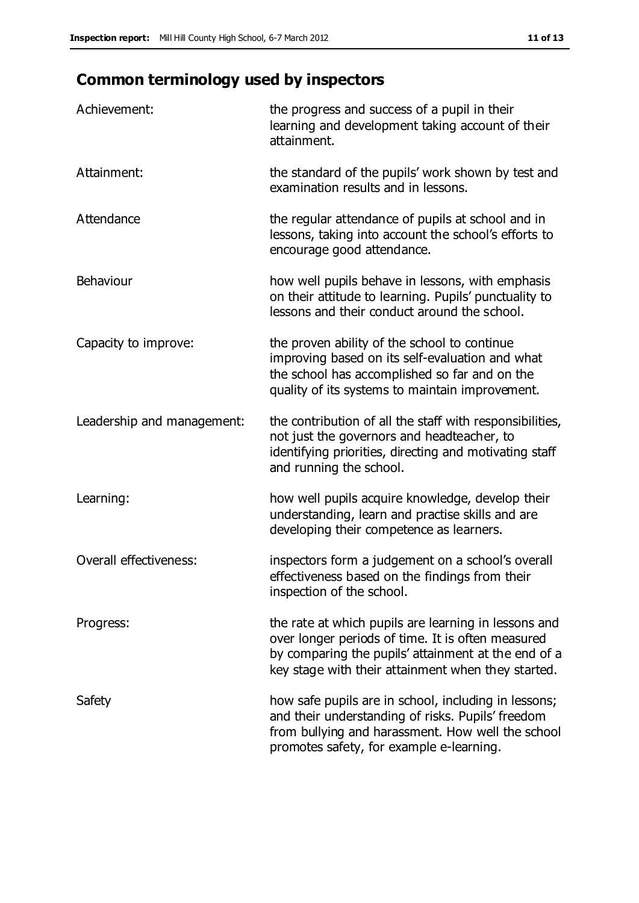# **Common terminology used by inspectors**

| Achievement:                  | the progress and success of a pupil in their<br>learning and development taking account of their<br>attainment.                                                                                                        |
|-------------------------------|------------------------------------------------------------------------------------------------------------------------------------------------------------------------------------------------------------------------|
| Attainment:                   | the standard of the pupils' work shown by test and<br>examination results and in lessons.                                                                                                                              |
| Attendance                    | the regular attendance of pupils at school and in<br>lessons, taking into account the school's efforts to<br>encourage good attendance.                                                                                |
| Behaviour                     | how well pupils behave in lessons, with emphasis<br>on their attitude to learning. Pupils' punctuality to<br>lessons and their conduct around the school.                                                              |
| Capacity to improve:          | the proven ability of the school to continue<br>improving based on its self-evaluation and what<br>the school has accomplished so far and on the<br>quality of its systems to maintain improvement.                    |
| Leadership and management:    | the contribution of all the staff with responsibilities,<br>not just the governors and headteacher, to<br>identifying priorities, directing and motivating staff<br>and running the school.                            |
| Learning:                     | how well pupils acquire knowledge, develop their<br>understanding, learn and practise skills and are<br>developing their competence as learners.                                                                       |
| <b>Overall effectiveness:</b> | inspectors form a judgement on a school's overall<br>effectiveness based on the findings from their<br>inspection of the school.                                                                                       |
| Progress:                     | the rate at which pupils are learning in lessons and<br>over longer periods of time. It is often measured<br>by comparing the pupils' attainment at the end of a<br>key stage with their attainment when they started. |
| Safety                        | how safe pupils are in school, including in lessons;<br>and their understanding of risks. Pupils' freedom<br>from bullying and harassment. How well the school<br>promotes safety, for example e-learning.             |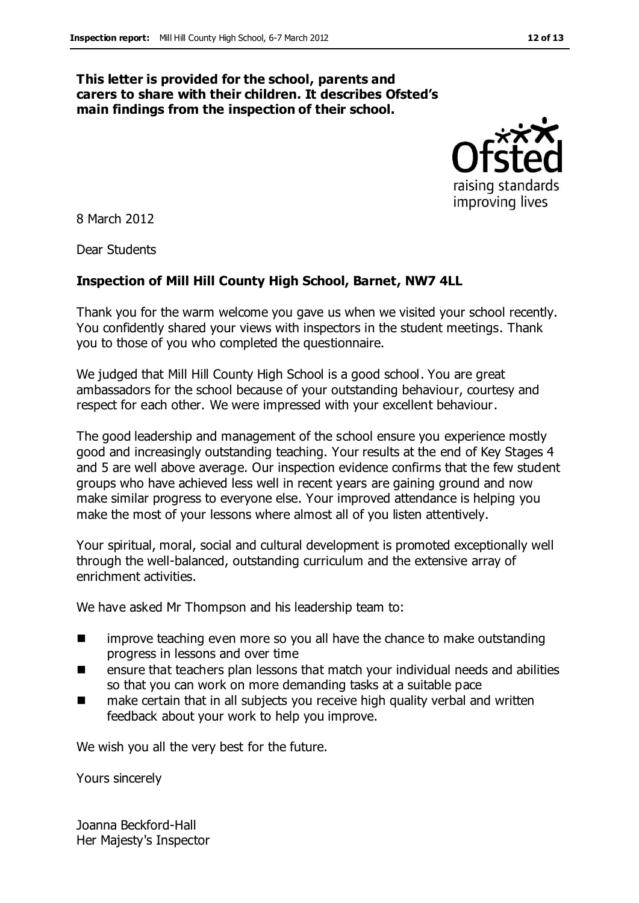#### **This letter is provided for the school, parents and carers to share with their children. It describes Ofsted's main findings from the inspection of their school.**



8 March 2012

Dear Students

### **Inspection of Mill Hill County High School, Barnet, NW7 4LL**

Thank you for the warm welcome you gave us when we visited your school recently. You confidently shared your views with inspectors in the student meetings. Thank you to those of you who completed the questionnaire.

We judged that Mill Hill County High School is a good school. You are great ambassadors for the school because of your outstanding behaviour, courtesy and respect for each other. We were impressed with your excellent behaviour.

The good leadership and management of the school ensure you experience mostly good and increasingly outstanding teaching. Your results at the end of Key Stages 4 and 5 are well above average. Our inspection evidence confirms that the few student groups who have achieved less well in recent years are gaining ground and now make similar progress to everyone else. Your improved attendance is helping you make the most of your lessons where almost all of you listen attentively.

Your spiritual, moral, social and cultural development is promoted exceptionally well through the well-balanced, outstanding curriculum and the extensive array of enrichment activities.

We have asked Mr Thompson and his leadership team to:

- **IF** improve teaching even more so you all have the chance to make outstanding progress in lessons and over time
- ensure that teachers plan lessons that match your individual needs and abilities so that you can work on more demanding tasks at a suitable pace
- make certain that in all subjects you receive high quality verbal and written feedback about your work to help you improve.

We wish you all the very best for the future.

Yours sincerely

Joanna Beckford-Hall Her Majesty's Inspector